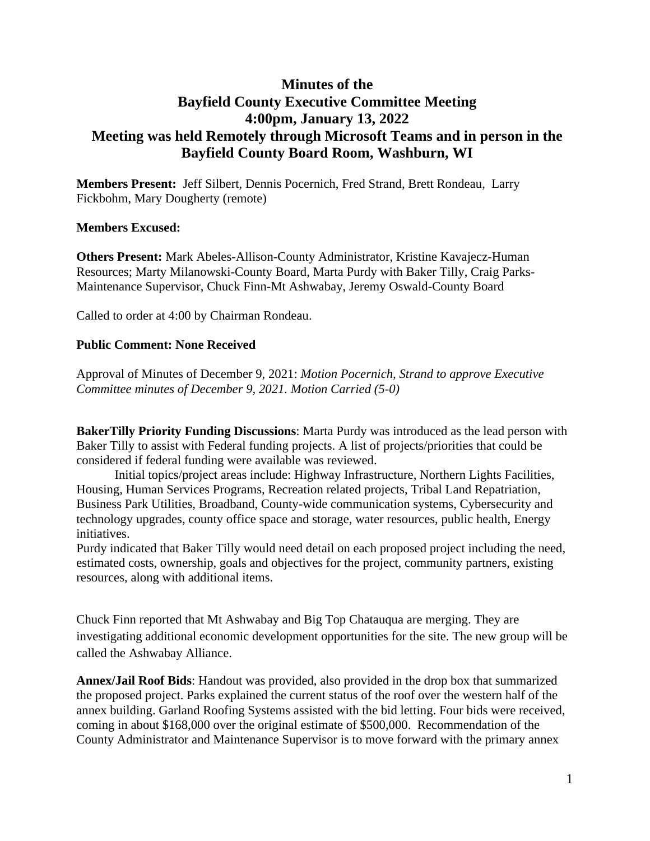## **Minutes of the Bayfield County Executive Committee Meeting 4:00pm, January 13, 2022 Meeting was held Remotely through Microsoft Teams and in person in the Bayfield County Board Room, Washburn, WI**

**Members Present:** Jeff Silbert, Dennis Pocernich, Fred Strand, Brett Rondeau, Larry Fickbohm, Mary Dougherty (remote)

## **Members Excused:**

**Others Present:** Mark Abeles-Allison-County Administrator, Kristine Kavajecz-Human Resources; Marty Milanowski-County Board, Marta Purdy with Baker Tilly, Craig Parks-Maintenance Supervisor, Chuck Finn-Mt Ashwabay, Jeremy Oswald-County Board

Called to order at 4:00 by Chairman Rondeau.

## **Public Comment: None Received**

Approval of Minutes of December 9, 2021: *Motion Pocernich, Strand to approve Executive Committee minutes of December 9, 2021. Motion Carried (5-0)*

**BakerTilly Priority Funding Discussions**: Marta Purdy was introduced as the lead person with Baker Tilly to assist with Federal funding projects. A list of projects/priorities that could be considered if federal funding were available was reviewed.

Initial topics/project areas include: Highway Infrastructure, Northern Lights Facilities, Housing, Human Services Programs, Recreation related projects, Tribal Land Repatriation, Business Park Utilities, Broadband, County-wide communication systems, Cybersecurity and technology upgrades, county office space and storage, water resources, public health, Energy initiatives.

Purdy indicated that Baker Tilly would need detail on each proposed project including the need, estimated costs, ownership, goals and objectives for the project, community partners, existing resources, along with additional items.

Chuck Finn reported that Mt Ashwabay and Big Top Chatauqua are merging. They are investigating additional economic development opportunities for the site. The new group will be called the Ashwabay Alliance.

**Annex/Jail Roof Bids**: Handout was provided, also provided in the drop box that summarized the proposed project. Parks explained the current status of the roof over the western half of the annex building. Garland Roofing Systems assisted with the bid letting. Four bids were received, coming in about \$168,000 over the original estimate of \$500,000. Recommendation of the County Administrator and Maintenance Supervisor is to move forward with the primary annex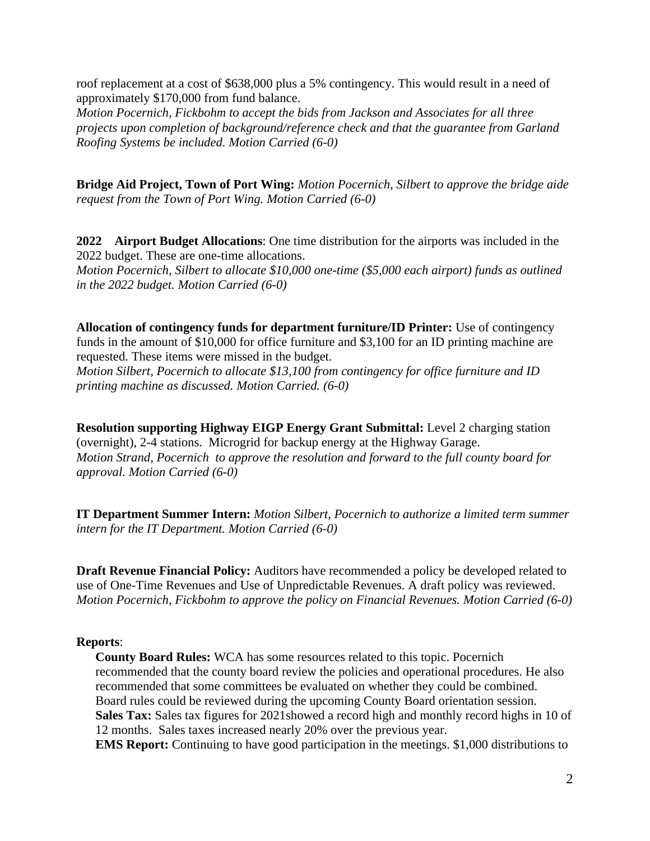roof replacement at a cost of \$638,000 plus a 5% contingency. This would result in a need of approximately \$170,000 from fund balance.

*Motion Pocernich, Fickbohm to accept the bids from Jackson and Associates for all three projects upon completion of background/reference check and that the guarantee from Garland Roofing Systems be included. Motion Carried (6-0)*

**Bridge Aid Project, Town of Port Wing:** *Motion Pocernich, Silbert to approve the bridge aide request from the Town of Port Wing. Motion Carried (6-0)*

**2022 Airport Budget Allocations**: One time distribution for the airports was included in the 2022 budget. These are one-time allocations.

*Motion Pocernich, Silbert to allocate \$10,000 one-time (\$5,000 each airport) funds as outlined in the 2022 budget. Motion Carried (6-0)*

**Allocation of contingency funds for department furniture/ID Printer:** Use of contingency funds in the amount of \$10,000 for office furniture and \$3,100 for an ID printing machine are requested. These items were missed in the budget.

*Motion Silbert, Pocernich to allocate \$13,100 from contingency for office furniture and ID printing machine as discussed. Motion Carried. (6-0)*

**Resolution supporting Highway EIGP Energy Grant Submittal:** Level 2 charging station (overnight), 2-4 stations. Microgrid for backup energy at the Highway Garage. *Motion Strand, Pocernich to approve the resolution and forward to the full county board for approval. Motion Carried (6-0)*

**IT Department Summer Intern:** *Motion Silbert, Pocernich to authorize a limited term summer intern for the IT Department. Motion Carried (6-0)*

**Draft Revenue Financial Policy:** Auditors have recommended a policy be developed related to use of One-Time Revenues and Use of Unpredictable Revenues. A draft policy was reviewed. *Motion Pocernich, Fickbohm to approve the policy on Financial Revenues. Motion Carried (6-0)*

## **Reports**:

**County Board Rules:** WCA has some resources related to this topic. Pocernich recommended that the county board review the policies and operational procedures. He also recommended that some committees be evaluated on whether they could be combined. Board rules could be reviewed during the upcoming County Board orientation session. **Sales Tax:** Sales tax figures for 2021showed a record high and monthly record highs in 10 of 12 months. Sales taxes increased nearly 20% over the previous year. **EMS Report:** Continuing to have good participation in the meetings. \$1,000 distributions to